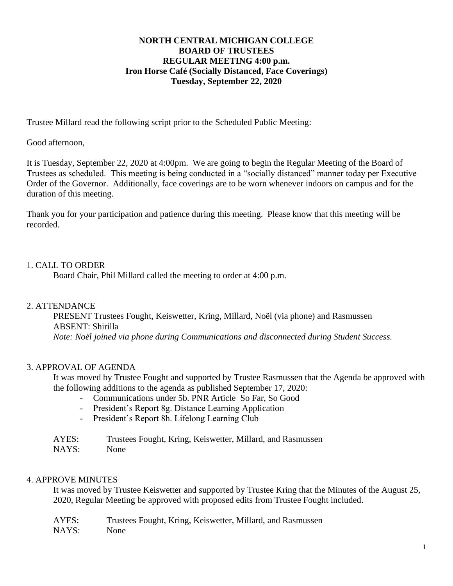## **NORTH CENTRAL MICHIGAN COLLEGE BOARD OF TRUSTEES REGULAR MEETING 4:00 p.m. Iron Horse Café (Socially Distanced, Face Coverings) Tuesday, September 22, 2020**

Trustee Millard read the following script prior to the Scheduled Public Meeting:

Good afternoon,

It is Tuesday, September 22, 2020 at 4:00pm. We are going to begin the Regular Meeting of the Board of Trustees as scheduled. This meeting is being conducted in a "socially distanced" manner today per Executive Order of the Governor. Additionally, face coverings are to be worn whenever indoors on campus and for the duration of this meeting.

Thank you for your participation and patience during this meeting. Please know that this meeting will be recorded.

# 1. CALL TO ORDER

Board Chair, Phil Millard called the meeting to order at 4:00 p.m.

### 2. ATTENDANCE

PRESENT Trustees Fought, Keiswetter, Kring, Millard, Noël (via phone) and Rasmussen ABSENT: Shirilla *Note: Noël joined via phone during Communications and disconnected during Student Success.*

# 3. APPROVAL OF AGENDA

It was moved by Trustee Fought and supported by Trustee Rasmussen that the Agenda be approved with the following additions to the agenda as published September 17, 2020:

- Communications under 5b. PNR Article So Far, So Good
- President's Report 8g. Distance Learning Application
- President's Report 8h. Lifelong Learning Club
- AYES: Trustees Fought, Kring, Keiswetter, Millard, and Rasmussen
- NAYS: None

### 4. APPROVE MINUTES

It was moved by Trustee Keiswetter and supported by Trustee Kring that the Minutes of the August 25, 2020, Regular Meeting be approved with proposed edits from Trustee Fought included.

| AYES: | Trustees Fought, Kring, Keiswetter, Millard, and Rasmussen |
|-------|------------------------------------------------------------|
| NAYS: | None                                                       |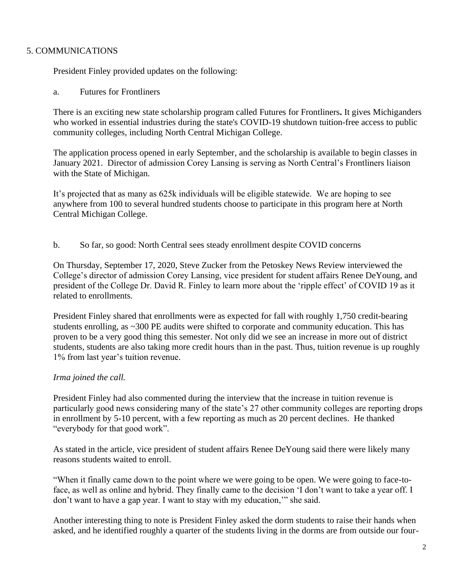# 5. COMMUNICATIONS

President Finley provided updates on the following:

a. Futures for Frontliners

There is an exciting new state scholarship program called Futures for [Frontliners](https://www.michigan.gov/whitmer/0,9309,7-387-90499_90640-527530--,00.html)**.** It gives Michiganders who worked in essential industries during the state's COVID-19 shutdown tuition-free access to public community colleges, including North Central Michigan College.

The application process opened in early September, and the scholarship is available to begin classes in January 2021. Director of admission Corey Lansing is serving as North Central's Frontliners liaison with the State of Michigan.

It's projected that as many as 625k individuals will be eligible statewide. We are hoping to see anywhere from 100 to several hundred students choose to participate in this program here at North Central Michigan College.

b. So far, so good: North Central sees steady enrollment despite COVID concerns

On Thursday, September 17, 2020, Steve Zucker from the Petoskey News Review interviewed the College's director of admission Corey Lansing, vice president for student affairs Renee DeYoung, and president of the College Dr. David R. Finley to learn more about the 'ripple effect' of COVID 19 as it related to enrollments.

President Finley shared that enrollments were as expected for fall with roughly 1,750 credit-bearing students enrolling, as ~300 PE audits were shifted to corporate and community education. This has proven to be a very good thing this semester. Not only did we see an increase in more out of district students, students are also taking more credit hours than in the past. Thus, tuition revenue is up roughly 1% from last year's tuition revenue.

# *Irma joined the call.*

President Finley had also commented during the interview that the increase in tuition revenue is particularly good news considering many of the state's 27 other community colleges are reporting drops in enrollment by 5-10 percent, with a few reporting as much as 20 percent declines. He thanked "everybody for that good work".

As stated in the article, vice president of student affairs Renee DeYoung said there were likely many reasons students waited to enroll.

"When it finally came down to the point where we were going to be open. We were going to face-toface, as well as online and hybrid. They finally came to the decision 'I don't want to take a year off. I don't want to have a gap year. I want to stay with my education,'" she said.

Another interesting thing to note is President Finley asked the dorm students to raise their hands when asked, and he identified roughly a quarter of the students living in the dorms are from outside our four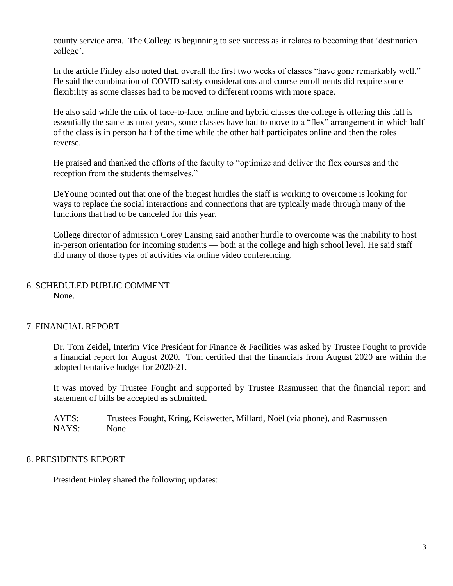county service area. The College is beginning to see success as it relates to becoming that 'destination college'.

In the article Finley also noted that, overall the first two weeks of classes "have gone remarkably well." He said the combination of COVID safety considerations and course enrollments did require some flexibility as some classes had to be moved to different rooms with more space.

He also said while the mix of face-to-face, online and hybrid classes the college is offering this fall is essentially the same as most years, some classes have had to move to a "flex" arrangement in which half of the class is in person half of the time while the other half participates online and then the roles reverse.

He praised and thanked the efforts of the faculty to "optimize and deliver the flex courses and the reception from the students themselves."

DeYoung pointed out that one of the biggest hurdles the staff is working to overcome is looking for ways to replace the social interactions and connections that are typically made through many of the functions that had to be canceled for this year.

College director of admission Corey Lansing said another hurdle to overcome was the inability to host in-person orientation for incoming students — both at the college and high school level. He said staff did many of those types of activities via online video conferencing.

#### 6. SCHEDULED PUBLIC COMMENT None.

# 7. FINANCIAL REPORT

Dr. Tom Zeidel, Interim Vice President for Finance & Facilities was asked by Trustee Fought to provide a financial report for August 2020. Tom certified that the financials from August 2020 are within the adopted tentative budget for 2020-21.

It was moved by Trustee Fought and supported by Trustee Rasmussen that the financial report and statement of bills be accepted as submitted.

AYES: Trustees Fought, Kring, Keiswetter, Millard, Noël (via phone), and Rasmussen NAYS: None

### 8. PRESIDENTS REPORT

President Finley shared the following updates: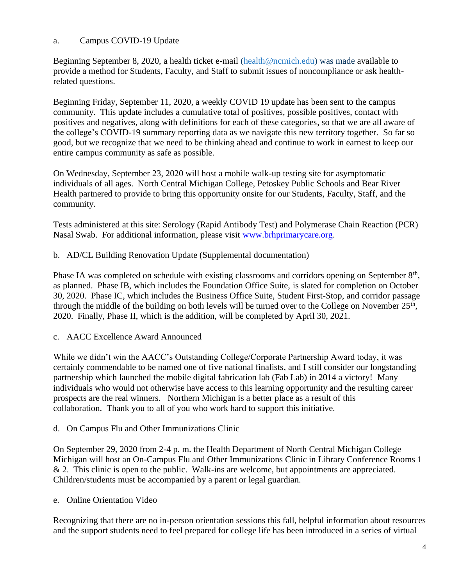# a. Campus COVID-19 Update

Beginning September 8, 2020, a health ticket e-mail [\(health@ncmich.edu\)](mailto:health@ncmich.edu) was made available to provide a method for Students, Faculty, and Staff to submit issues of noncompliance or ask healthrelated questions.

Beginning Friday, September 11, 2020, a weekly COVID 19 update has been sent to the campus community. This update includes a cumulative total of positives, possible positives, contact with positives and negatives, along with definitions for each of these categories, so that we are all aware of the college's COVID-19 summary reporting data as we navigate this new territory together. So far so good, but we recognize that we need to be thinking ahead and continue to work in earnest to keep our entire campus community as safe as possible.

On Wednesday, September 23, 2020 will host a mobile walk-up testing site for asymptomatic individuals of all ages. North Central Michigan College, Petoskey Public Schools and Bear River Health partnered to provide to bring this opportunity onsite for our Students, Faculty, Staff, and the community.

Tests administered at this site: Serology (Rapid Antibody Test) and Polymerase Chain Reaction (PCR) Nasal Swab. For additional information, please visit [www.brhprimarycare.org.](http://www.brhprimarycare.org/)

# b. AD/CL Building Renovation Update (Supplemental documentation)

Phase IA was completed on schedule with existing classrooms and corridors opening on September 8<sup>th</sup>, as planned. Phase IB, which includes the Foundation Office Suite, is slated for completion on October 30, 2020. Phase IC, which includes the Business Office Suite, Student First-Stop, and corridor passage through the middle of the building on both levels will be turned over to the College on November  $25<sup>th</sup>$ , 2020. Finally, Phase II, which is the addition, will be completed by April 30, 2021.

# c. AACC Excellence Award Announced

While we didn't win the AACC's Outstanding College/Corporate Partnership Award today, it was certainly commendable to be named one of five national finalists, and I still consider our longstanding partnership which launched the mobile digital fabrication lab (Fab Lab) in 2014 a victory! Many individuals who would not otherwise have access to this learning opportunity and the resulting career prospects are the real winners. Northern Michigan is a better place as a result of this collaboration. Thank you to all of you who work hard to support this initiative.

# d. On Campus Flu and Other Immunizations Clinic

On September 29, 2020 from 2-4 p. m. the Health Department of North Central Michigan College Michigan will host an On-Campus Flu and Other Immunizations Clinic in Library Conference Rooms 1  $& 2.$  This clinic is open to the public. Walk-ins are welcome, but appointments are appreciated. Children/students must be accompanied by a parent or legal guardian.

e. Online Orientation Video

Recognizing that there are no in-person orientation sessions this fall, helpful information about resources and the support students need to feel prepared for college life has been introduced in a series of virtual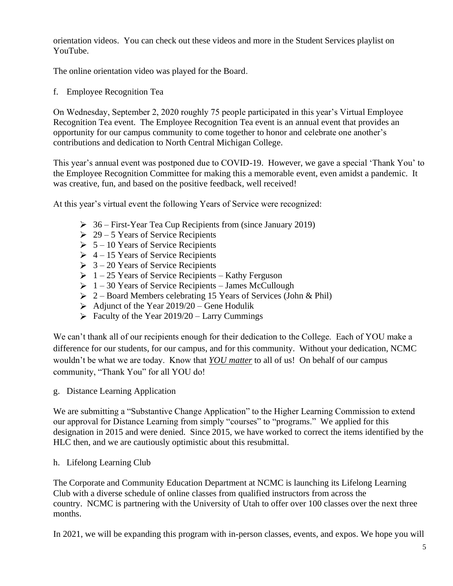orientation videos. You can check out these videos and more in the Student Services playlist on YouTube.

The online orientation video was played for the Board.

f. Employee Recognition Tea

On Wednesday, September 2, 2020 roughly 75 people participated in this year's Virtual Employee Recognition Tea event. The Employee Recognition Tea event is an annual event that provides an opportunity for our campus community to come together to honor and celebrate one another's contributions and dedication to North Central Michigan College.

This year's annual event was postponed due to COVID-19. However, we gave a special 'Thank You' to the Employee Recognition Committee for making this a memorable event, even amidst a pandemic. It was creative, fun, and based on the positive feedback, well received!

At this year's virtual event the following Years of Service were recognized:

- $\geq 36$  First-Year Tea Cup Recipients from (since January 2019)
- $\geq 29 5$  Years of Service Recipients
- $\geq 5 10$  Years of Service Recipients
- $\geq 4 15$  Years of Service Recipients
- $\geq 3 20$  Years of Service Recipients
- $\geq 1 25$  Years of Service Recipients Kathy Ferguson
- $\geq 1 30$  Years of Service Recipients James McCullough
- $\geq 2$  Board Members celebrating 15 Years of Services (John & Phil)
- Adjunct of the Year  $2019/20$  Gene Hodulik
- $\triangleright$  Faculty of the Year 2019/20 Larry Cummings

We can't thank all of our recipients enough for their dedication to the College. Each of YOU make a difference for our students, for our campus, and for this community. Without your dedication, NCMC wouldn't be what we are today. Know that *YOU matter* to all of us! On behalf of our campus community, "Thank You" for all YOU do!

g. Distance Learning Application

We are submitting a "Substantive Change Application" to the Higher Learning Commission to extend our approval for Distance Learning from simply "courses" to "programs." We applied for this designation in 2015 and were denied. Since 2015, we have worked to correct the items identified by the HLC then, and we are cautiously optimistic about this resubmittal.

h. Lifelong Learning Club

The Corporate and Community Education Department at NCMC is launching its Lifelong Learning Club with a diverse schedule of online classes from qualified instructors from across the country. NCMC is partnering with the University of Utah to offer over 100 classes over the next three months.

In 2021, we will be expanding this program with in-person classes, events, and expos. We hope you will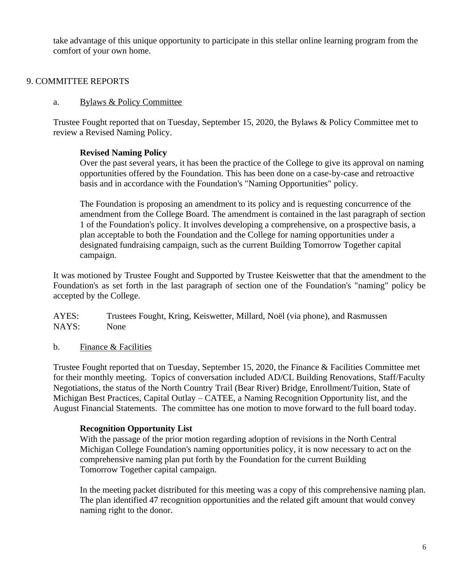take advantage of this unique opportunity to participate in this stellar online learning program from the comfort of your own home.

# 9. COMMITTEE REPORTS

### a. Bylaws & Policy Committee

Trustee Fought reported that on Tuesday, September 15, 2020, the Bylaws & Policy Committee met to review a Revised Naming Policy.

# **Revised Naming Policy**

Over the past several years, it has been the practice of the College to give its approval on naming opportunities offered by the Foundation. This has been done on a case-by-case and retroactive basis and in accordance with the Foundation's "Naming Opportunities" policy.

The Foundation is proposing an amendment to its policy and is requesting concurrence of the amendment from the College Board. The amendment is contained in the last paragraph of section 1 of the Foundation's policy. It involves developing a comprehensive, on a prospective basis, a plan acceptable to both the Foundation and the College for naming opportunities under a designated fundraising campaign, such as the current Building Tomorrow Together capital campaign.

It was motioned by Trustee Fought and Supported by Trustee Keiswetter that that the amendment to the Foundation's as set forth in the last paragraph of section one of the Foundation's "naming" policy be accepted by the College.

AYES: Trustees Fought, Kring, Keiswetter, Millard, Noël (via phone), and Rasmussen NAYS: None

b. Finance & Facilities

Trustee Fought reported that on Tuesday, September 15, 2020, the Finance & Facilities Committee met for their monthly meeting. Topics of conversation included AD/CL Building Renovations, Staff/Faculty Negotiations, the status of the North Country Trail (Bear River) Bridge, Enrollment/Tuition, State of Michigan Best Practices, Capital Outlay – CATEE, a Naming Recognition Opportunity list, and the August Financial Statements. The committee has one motion to move forward to the full board today.

# **Recognition Opportunity List**

With the passage of the prior motion regarding adoption of revisions in the North Central Michigan College Foundation's naming opportunities policy, it is now necessary to act on the comprehensive naming plan put forth by the Foundation for the current Building Tomorrow Together capital campaign.

In the meeting packet distributed for this meeting was a copy of this comprehensive naming plan. The plan identified 47 recognition opportunities and the related gift amount that would convey naming right to the donor.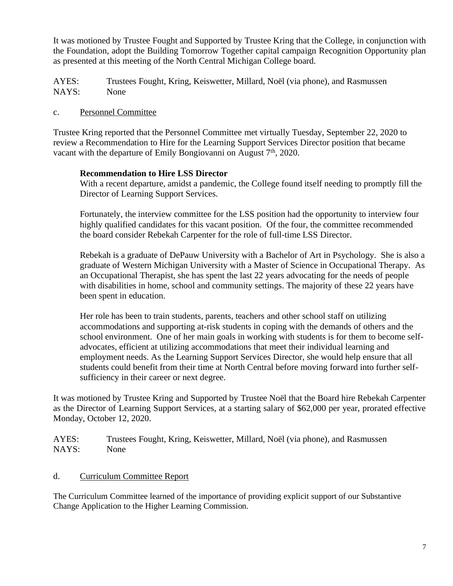It was motioned by Trustee Fought and Supported by Trustee Kring that the College, in conjunction with the Foundation, adopt the Building Tomorrow Together capital campaign Recognition Opportunity plan as presented at this meeting of the North Central Michigan College board.

AYES: Trustees Fought, Kring, Keiswetter, Millard, Noël (via phone), and Rasmussen NAYS: None

## c. Personnel Committee

Trustee Kring reported that the Personnel Committee met virtually Tuesday, September 22, 2020 to review a Recommendation to Hire for the Learning Support Services Director position that became vacant with the departure of Emily Bongiovanni on August  $7<sup>th</sup>$ , 2020.

### **Recommendation to Hire LSS Director**

With a recent departure, amidst a pandemic, the College found itself needing to promptly fill the Director of Learning Support Services.

Fortunately, the interview committee for the LSS position had the opportunity to interview four highly qualified candidates for this vacant position. Of the four, the committee recommended the board consider Rebekah Carpenter for the role of full-time LSS Director.

Rebekah is a graduate of DePauw University with a Bachelor of Art in Psychology. She is also a graduate of Western Michigan University with a Master of Science in Occupational Therapy. As an Occupational Therapist, she has spent the last 22 years advocating for the needs of people with disabilities in home, school and community settings. The majority of these 22 years have been spent in education.

Her role has been to train students, parents, teachers and other school staff on utilizing accommodations and supporting at-risk students in coping with the demands of others and the school environment. One of her main goals in working with students is for them to become selfadvocates, efficient at utilizing accommodations that meet their individual learning and employment needs. As the Learning Support Services Director, she would help ensure that all students could benefit from their time at North Central before moving forward into further selfsufficiency in their career or next degree.

It was motioned by Trustee Kring and Supported by Trustee Noël that the Board hire Rebekah Carpenter as the Director of Learning Support Services, at a starting salary of \$62,000 per year, prorated effective Monday, October 12, 2020.

AYES: Trustees Fought, Kring, Keiswetter, Millard, Noël (via phone), and Rasmussen NAYS: None

d. Curriculum Committee Report

The Curriculum Committee learned of the importance of providing explicit support of our Substantive Change Application to the Higher Learning Commission.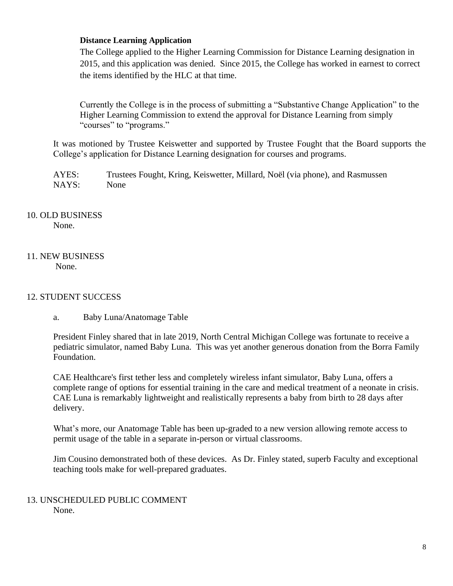### **Distance Learning Application**

The College applied to the Higher Learning Commission for Distance Learning designation in 2015, and this application was denied. Since 2015, the College has worked in earnest to correct the items identified by the HLC at that time.

Currently the College is in the process of submitting a "Substantive Change Application" to the Higher Learning Commission to extend the approval for Distance Learning from simply "courses" to "programs."

It was motioned by Trustee Keiswetter and supported by Trustee Fought that the Board supports the College's application for Distance Learning designation for courses and programs.

AYES: Trustees Fought, Kring, Keiswetter, Millard, Noël (via phone), and Rasmussen NAYS: None

# 10. OLD BUSINESS None.

### 11. NEW BUSINESS None.

# 12. STUDENT SUCCESS

a. Baby Luna/Anatomage Table

President Finley shared that in late 2019, North Central Michigan College was fortunate to receive a pediatric simulator, named Baby Luna. This was yet another generous donation from the Borra Family Foundation.

CAE Healthcare's first tether less and completely wireless infant simulator, Baby Luna, offers a complete range of options for essential training in the care and medical treatment of a neonate in crisis. CAE Luna is remarkably lightweight and realistically represents a baby from birth to 28 days after delivery.

What's more, our Anatomage Table has been up-graded to a new version allowing remote access to permit usage of the table in a separate in-person or virtual classrooms.

Jim Cousino demonstrated both of these devices. As Dr. Finley stated, superb Faculty and exceptional teaching tools make for well-prepared graduates.

### 13. UNSCHEDULED PUBLIC COMMENT None.